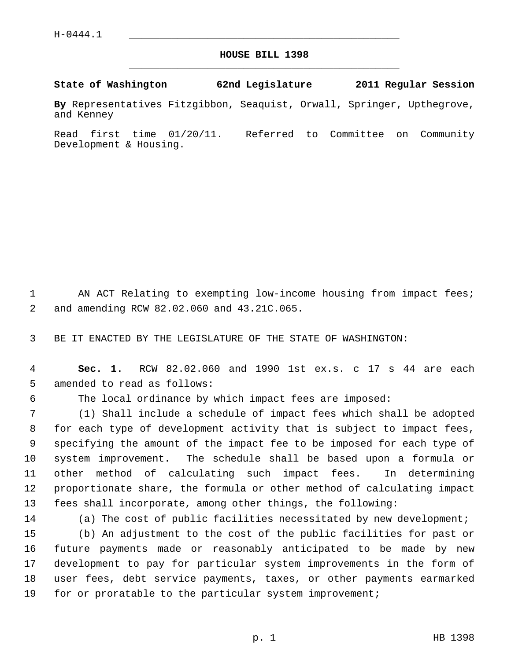## **HOUSE BILL 1398** \_\_\_\_\_\_\_\_\_\_\_\_\_\_\_\_\_\_\_\_\_\_\_\_\_\_\_\_\_\_\_\_\_\_\_\_\_\_\_\_\_\_\_\_\_

## **State of Washington 62nd Legislature 2011 Regular Session**

**By** Representatives Fitzgibbon, Seaquist, Orwall, Springer, Upthegrove, and Kenney

Read first time 01/20/11. Referred to Committee on Community Development & Housing.

1 AN ACT Relating to exempting low-income housing from impact fees; 2 and amending RCW 82.02.060 and 43.21C.065.

3 BE IT ENACTED BY THE LEGISLATURE OF THE STATE OF WASHINGTON:

 4 **Sec. 1.** RCW 82.02.060 and 1990 1st ex.s. c 17 s 44 are each 5 amended to read as follows:

6 The local ordinance by which impact fees are imposed:

 7 (1) Shall include a schedule of impact fees which shall be adopted 8 for each type of development activity that is subject to impact fees, 9 specifying the amount of the impact fee to be imposed for each type of 10 system improvement. The schedule shall be based upon a formula or 11 other method of calculating such impact fees. In determining 12 proportionate share, the formula or other method of calculating impact 13 fees shall incorporate, among other things, the following:

14 (a) The cost of public facilities necessitated by new development;

15 (b) An adjustment to the cost of the public facilities for past or 16 future payments made or reasonably anticipated to be made by new 17 development to pay for particular system improvements in the form of 18 user fees, debt service payments, taxes, or other payments earmarked 19 for or proratable to the particular system improvement;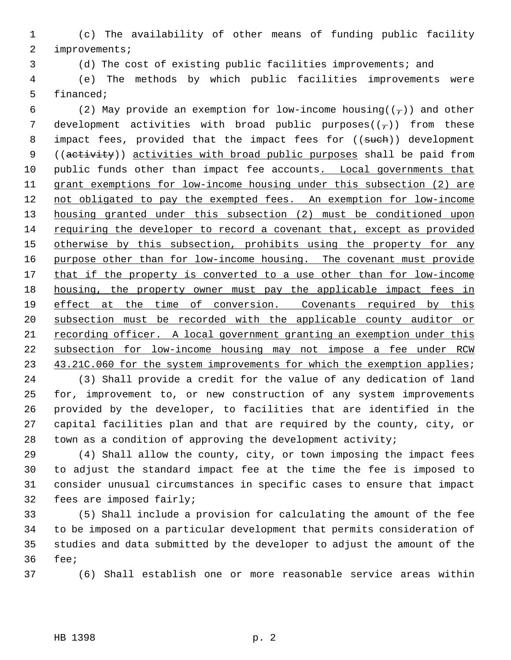1 (c) The availability of other means of funding public facility 2 improvements;

3 (d) The cost of existing public facilities improvements; and

 4 (e) The methods by which public facilities improvements were 5 financed;

6 (2) May provide an exemption for low-income housing( $(\tau)$ ) and other 7 development activities with broad public purposes( $(-)$ ) from these 8 impact fees, provided that the impact fees for ((such)) development 9 ((activity)) activities with broad public purposes shall be paid from 10 public funds other than impact fee accounts. Local governments that 11 grant exemptions for low-income housing under this subsection (2) are 12 not obligated to pay the exempted fees. An exemption for low-income 13 housing granted under this subsection (2) must be conditioned upon 14 requiring the developer to record a covenant that, except as provided 15 otherwise by this subsection, prohibits using the property for any 16 purpose other than for low-income housing. The covenant must provide 17 that if the property is converted to a use other than for low-income 18 housing, the property owner must pay the applicable impact fees in 19 effect at the time of conversion. Covenants required by this 20 subsection must be recorded with the applicable county auditor or 21 recording officer. A local government granting an exemption under this 22 subsection for low-income housing may not impose a fee under RCW 23 43.21C.060 for the system improvements for which the exemption applies;

24 (3) Shall provide a credit for the value of any dedication of land 25 for, improvement to, or new construction of any system improvements 26 provided by the developer, to facilities that are identified in the 27 capital facilities plan and that are required by the county, city, or 28 town as a condition of approving the development activity;

29 (4) Shall allow the county, city, or town imposing the impact fees 30 to adjust the standard impact fee at the time the fee is imposed to 31 consider unusual circumstances in specific cases to ensure that impact 32 fees are imposed fairly;

33 (5) Shall include a provision for calculating the amount of the fee 34 to be imposed on a particular development that permits consideration of 35 studies and data submitted by the developer to adjust the amount of the 36 fee;

37 (6) Shall establish one or more reasonable service areas within